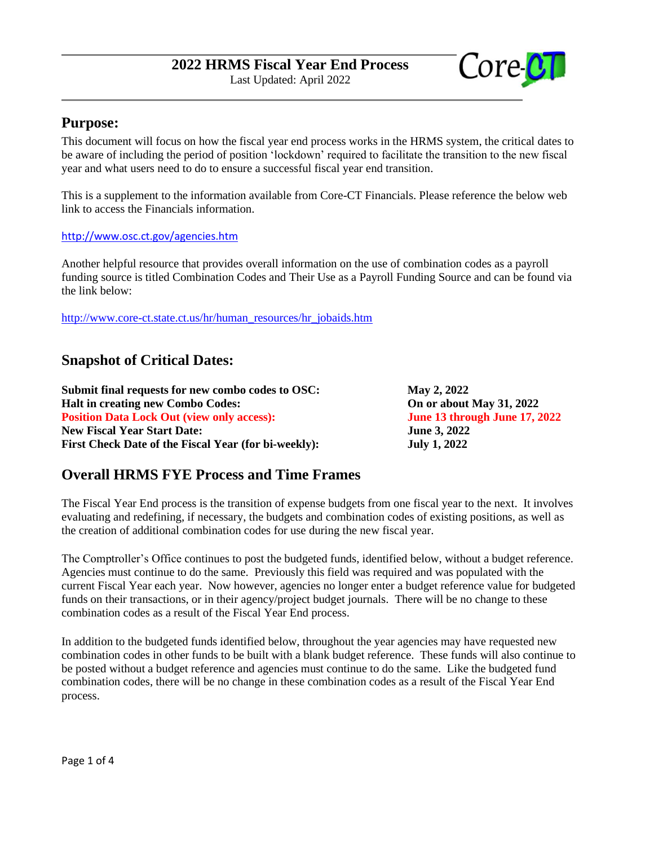

## **Purpose:**

This document will focus on how the fiscal year end process works in the HRMS system, the critical dates to be aware of including the period of position 'lockdown' required to facilitate the transition to the new fiscal year and what users need to do to ensure a successful fiscal year end transition.

This is a supplement to the information available from Core-CT Financials. Please reference the below web link to access the Financials information.

#### <http://www.osc.ct.gov/agencies.htm>

Another helpful resource that provides overall information on the use of combination codes as a payroll funding source is titled Combination Codes and Their Use as a Payroll Funding Source and can be found via the link below:

[http://www.core-ct.state.ct.us/hr/human\\_resources/hr\\_jobaids.htm](http://www.core-ct.state.ct.us/hr/human_resources/hr_jobaids.htm)

# **Snapshot of Critical Dates:**

| Submit final requests for new combo codes to OSC:    | May 2, 2022                   |
|------------------------------------------------------|-------------------------------|
| <b>Halt in creating new Combo Codes:</b>             | On or about May 31, 2022      |
| <b>Position Data Lock Out (view only access):</b>    | June 13 through June 17, 2022 |
| <b>New Fiscal Year Start Date:</b>                   | <b>June 3, 2022</b>           |
| First Check Date of the Fiscal Year (for bi-weekly): | <b>July 1, 2022</b>           |

# **Overall HRMS FYE Process and Time Frames**

The Fiscal Year End process is the transition of expense budgets from one fiscal year to the next. It involves evaluating and redefining, if necessary, the budgets and combination codes of existing positions, as well as the creation of additional combination codes for use during the new fiscal year.

The Comptroller's Office continues to post the budgeted funds, identified below, without a budget reference. Agencies must continue to do the same. Previously this field was required and was populated with the current Fiscal Year each year. Now however, agencies no longer enter a budget reference value for budgeted funds on their transactions, or in their agency/project budget journals. There will be no change to these combination codes as a result of the Fiscal Year End process.

In addition to the budgeted funds identified below, throughout the year agencies may have requested new combination codes in other funds to be built with a blank budget reference. These funds will also continue to be posted without a budget reference and agencies must continue to do the same. Like the budgeted fund combination codes, there will be no change in these combination codes as a result of the Fiscal Year End process.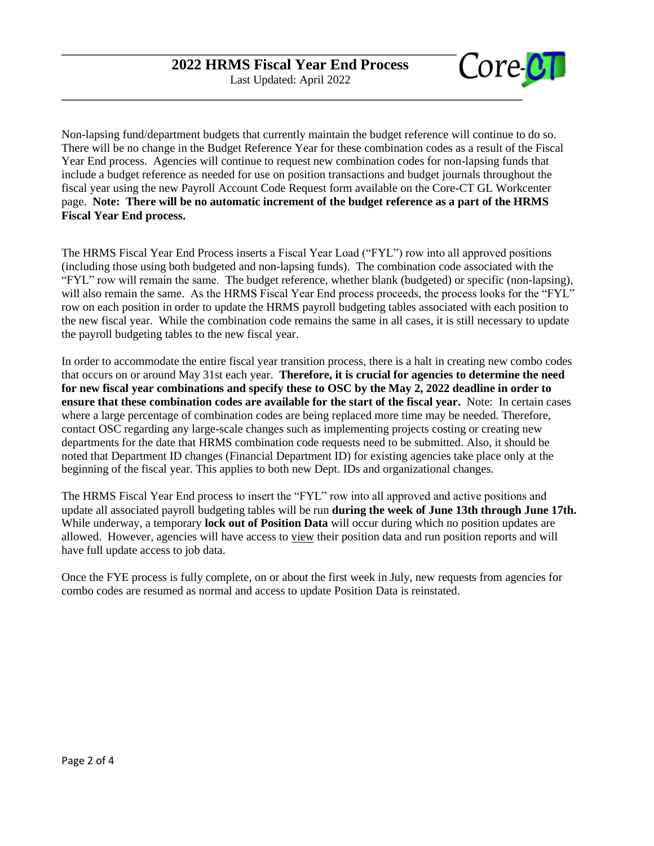

Non-lapsing fund/department budgets that currently maintain the budget reference will continue to do so. There will be no change in the Budget Reference Year for these combination codes as a result of the Fiscal Year End process. Agencies will continue to request new combination codes for non-lapsing funds that include a budget reference as needed for use on position transactions and budget journals throughout the fiscal year using the new Payroll Account Code Request form available on the Core-CT GL Workcenter page. **Note: There will be no automatic increment of the budget reference as a part of the HRMS Fiscal Year End process.** 

The HRMS Fiscal Year End Process inserts a Fiscal Year Load ("FYL") row into all approved positions (including those using both budgeted and non-lapsing funds). The combination code associated with the "FYL" row will remain the same. The budget reference, whether blank (budgeted) or specific (non-lapsing), will also remain the same. As the HRMS Fiscal Year End process proceeds, the process looks for the "FYL" row on each position in order to update the HRMS payroll budgeting tables associated with each position to the new fiscal year. While the combination code remains the same in all cases, it is still necessary to update the payroll budgeting tables to the new fiscal year.

In order to accommodate the entire fiscal year transition process, there is a halt in creating new combo codes that occurs on or around May 31st each year. **Therefore, it is crucial for agencies to determine the need for new fiscal year combinations and specify these to OSC by the May 2, 2022 deadline in order to ensure that these combination codes are available for the start of the fiscal year.** Note: In certain cases where a large percentage of combination codes are being replaced more time may be needed. Therefore, contact OSC regarding any large-scale changes such as implementing projects costing or creating new departments for the date that HRMS combination code requests need to be submitted. Also, it should be noted that Department ID changes (Financial Department ID) for existing agencies take place only at the beginning of the fiscal year. This applies to both new Dept. IDs and organizational changes.

The HRMS Fiscal Year End process to insert the "FYL" row into all approved and active positions and update all associated payroll budgeting tables will be run **during the week of June 13th through June 17th.**  While underway, a temporary **lock out of Position Data** will occur during which no position updates are allowed. However, agencies will have access to view their position data and run position reports and will have full update access to job data.

Once the FYE process is fully complete, on or about the first week in July, new requests from agencies for combo codes are resumed as normal and access to update Position Data is reinstated.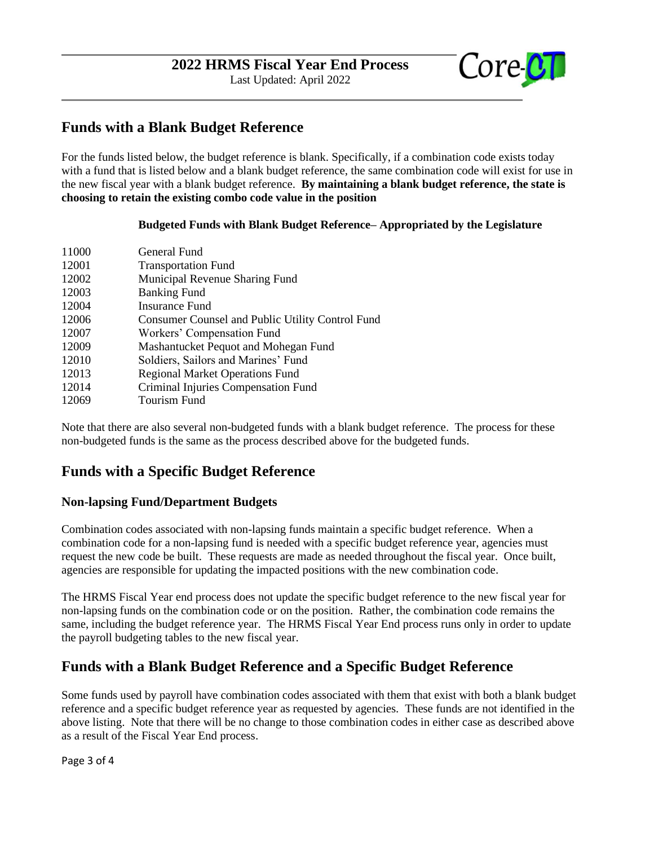Last Updated: April 2022

# Core **CI**

## **Funds with a Blank Budget Reference**

For the funds listed below, the budget reference is blank. Specifically, if a combination code exists today with a fund that is listed below and a blank budget reference, the same combination code will exist for use in the new fiscal year with a blank budget reference. **By maintaining a blank budget reference, the state is choosing to retain the existing combo code value in the position** 

#### **Budgeted Funds with Blank Budget Reference– Appropriated by the Legislature**

| 11000 | General Fund                                            |
|-------|---------------------------------------------------------|
| 12001 | <b>Transportation Fund</b>                              |
| 12002 | Municipal Revenue Sharing Fund                          |
| 12003 | <b>Banking Fund</b>                                     |
| 12004 | <b>Insurance Fund</b>                                   |
| 12006 | <b>Consumer Counsel and Public Utility Control Fund</b> |
| 12007 | Workers' Compensation Fund                              |
| 12009 | Mashantucket Pequot and Mohegan Fund                    |
| 12010 | Soldiers, Sailors and Marines' Fund                     |
| 12013 | <b>Regional Market Operations Fund</b>                  |
| 12014 | Criminal Injuries Compensation Fund                     |
| 12069 | Tourism Fund                                            |

Note that there are also several non-budgeted funds with a blank budget reference. The process for these non-budgeted funds is the same as the process described above for the budgeted funds.

# **Funds with a Specific Budget Reference**

### **Non-lapsing Fund/Department Budgets**

Combination codes associated with non-lapsing funds maintain a specific budget reference. When a combination code for a non-lapsing fund is needed with a specific budget reference year, agencies must request the new code be built. These requests are made as needed throughout the fiscal year. Once built, agencies are responsible for updating the impacted positions with the new combination code.

The HRMS Fiscal Year end process does not update the specific budget reference to the new fiscal year for non-lapsing funds on the combination code or on the position. Rather, the combination code remains the same, including the budget reference year. The HRMS Fiscal Year End process runs only in order to update the payroll budgeting tables to the new fiscal year.

# **Funds with a Blank Budget Reference and a Specific Budget Reference**

Some funds used by payroll have combination codes associated with them that exist with both a blank budget reference and a specific budget reference year as requested by agencies. These funds are not identified in the above listing. Note that there will be no change to those combination codes in either case as described above as a result of the Fiscal Year End process.

Page 3 of 4